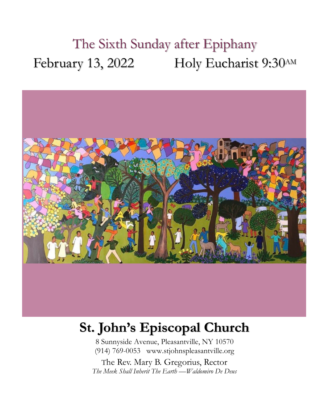# The Sixth Sunday after Epiphany February 13, 2022 Holy Eucharist 9:30AM



# **St. John's Episcopal Church**

8 Sunnyside Avenue, Pleasantville, NY 10570 (914) 769-0053 www.stjohnspleasantville.org

The Rev. Mary B. Gregorius, Rector *The Meek Shall Inherit The Earth —Waldomiro De Deus*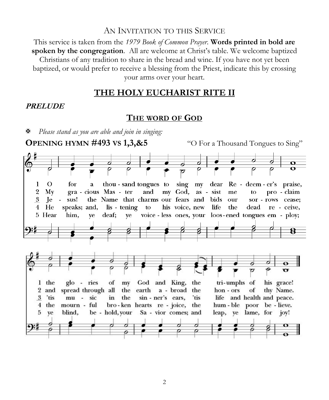#### AN INVITATION TO THIS SERVICE

This service is taken from the *1979 Book of Common Prayer*. **Words printed in bold are spoken by the congregation**. All are welcome at Christ's table. We welcome baptized Christians of any tradition to share in the bread and wine. If you have not yet been baptized, or would prefer to receive a blessing from the Priest, indicate this by crossing your arms over your heart.

### **THE HOLY EUCHARIST RITE II**

#### **PRELUDE**

### **THE WORD OF GOD**

*Please stand as you are able and join in singing:*

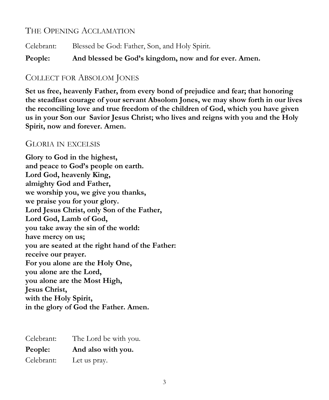# THE OPENING ACCLAMATION

Celebrant: Blessed be God: Father, Son, and Holy Spirit.

**People: And blessed be God's kingdom, now and for ever. Amen.**

### COLLECT FOR ABSOLOM JONES

**Set us free, heavenly Father, from every bond of prejudice and fear; that honoring the steadfast courage of your servant Absolom Jones, we may show forth in our lives the reconciling love and true freedom of the children of God, which you have given us in your Son our Savior Jesus Christ; who lives and reigns with you and the Holy Spirit, now and forever. Amen.**

### GLORIA IN EXCELSIS

**Glory to God in the highest, and peace to God's people on earth. Lord God, heavenly King, almighty God and Father, we worship you, we give you thanks, we praise you for your glory. Lord Jesus Christ, only Son of the Father, Lord God, Lamb of God, you take away the sin of the world: have mercy on us; you are seated at the right hand of the Father: receive our prayer. For you alone are the Holy One, you alone are the Lord, you alone are the Most High, Jesus Christ, with the Holy Spirit, in the glory of God the Father. Amen.**

| Celebrant: | The Lord be with you. |
|------------|-----------------------|
| People:    | And also with you.    |
| Celebrant: | Let us pray.          |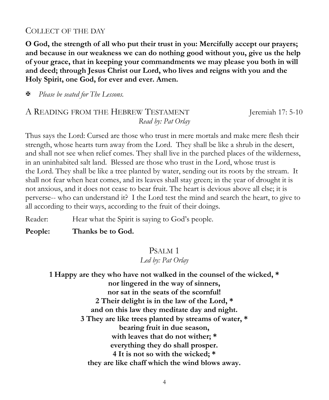#### COLLECT OF THE DAY

**O God, the strength of all who put their trust in you: Mercifully accept our prayers; and because in our weakness we can do nothing good without you, give us the help of your grace, that in keeping your commandments we may please you both in will and deed; through Jesus Christ our Lord, who lives and reigns with you and the Holy Spirit, one God, for ever and ever. Amen.**

*Please be seated for The Lessons.*

### A READING FROM THE HEBREW TESTAMENT Jeremiah 17: 5-10 *Read by: Pat Orlay*

Thus says the Lord: Cursed are those who trust in mere mortals and make mere flesh their strength, whose hearts turn away from the Lord. They shall be like a shrub in the desert, and shall not see when relief comes. They shall live in the parched places of the wilderness, in an uninhabited salt land. Blessed are those who trust in the Lord, whose trust is the Lord. They shall be like a tree planted by water, sending out its roots by the stream. It shall not fear when heat comes, and its leaves shall stay green; in the year of drought it is not anxious, and it does not cease to bear fruit. The heart is devious above all else; it is perverse-- who can understand it? I the Lord test the mind and search the heart, to give to all according to their ways, according to the fruit of their doings.

Reader: Hear what the Spirit is saying to God's people.

**People: Thanks be to God.**

#### PSALM 1

#### *Led by: Pat Orlay*

**1 Happy are they who have not walked in the counsel of the wicked, \* nor lingered in the way of sinners, nor sat in the seats of the scornful! 2 Their delight is in the law of the Lord, \* and on this law they meditate day and night. 3 They are like trees planted by streams of water, \* bearing fruit in due season, with leaves that do not wither; \* everything they do shall prosper. 4 It is not so with the wicked; \* they are like chaff which the wind blows away.**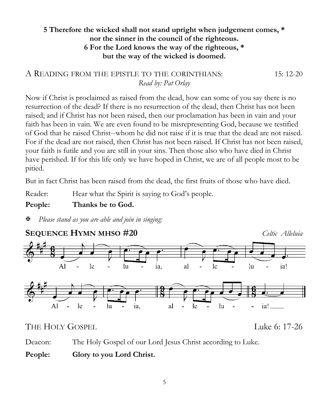### **5 Therefore the wicked shall not stand upright when judgement comes, \* nor the sinner in the council of the righteous. 6 For the Lord knows the way of the righteous, \* but the way of the wicked is doomed.**

### A READING FROM THE EPISTLE TO THE CORINTHIANS:  $15: 12-20$ *Read by: Pat Orlay*

Now if Christ is proclaimed as raised from the dead, how can some of you say there is no resurrection of the dead? If there is no resurrection of the dead, then Christ has not been raised; and if Christ has not been raised, then our proclamation has been in vain and your faith has been in vain. We are even found to be misrepresenting God, because we testified of God that he raised Christ--whom he did not raise if it is true that the dead are not raised. For if the dead are not raised, then Christ has not been raised. If Christ has not been raised, your faith is futile and you are still in your sins. Then those also who have died in Christ have perished. If for this life only we have hoped in Christ, we are of all people most to be pitied.

But in fact Christ has been raised from the dead, the first fruits of those who have died.

Reader: Hear what the Spirit is saying to God's people.

### **People: Thanks be to God.**

*Please stand as you are able and join in singing:*



THE HOLY GOSPEL LUKE 2008 THE HOLY GOSPEL

Deacon: The Holy Gospel of our Lord Jesus Christ according to Luke.

**People: Glory to you Lord Christ.**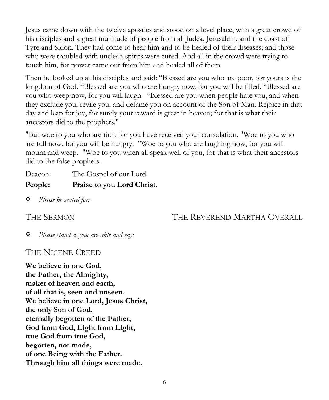Jesus came down with the twelve apostles and stood on a level place, with a great crowd of his disciples and a great multitude of people from all Judea, Jerusalem, and the coast of Tyre and Sidon. They had come to hear him and to be healed of their diseases; and those who were troubled with unclean spirits were cured. And all in the crowd were trying to touch him, for power came out from him and healed all of them.

Then he looked up at his disciples and said: "Blessed are you who are poor, for yours is the kingdom of God. "Blessed are you who are hungry now, for you will be filled. "Blessed are you who weep now, for you will laugh. "Blessed are you when people hate you, and when they exclude you, revile you, and defame you on account of the Son of Man. Rejoice in that day and leap for joy, for surely your reward is great in heaven; for that is what their ancestors did to the prophets."

"But woe to you who are rich, for you have received your consolation. "Woe to you who are full now, for you will be hungry. "Woe to you who are laughing now, for you will mourn and weep. "Woe to you when all speak well of you, for that is what their ancestors did to the false prophets.

Deacon: The Gospel of our Lord. **People: Praise to you Lord Christ.**

*Please be seated for:*

THE SERMON THE REVEREND MARTHA OVERALL

*Please stand as you are able and say:*

THE NICENE CREED

**We believe in one God, the Father, the Almighty, maker of heaven and earth, of all that is, seen and unseen. We believe in one Lord, Jesus Christ, the only Son of God, eternally begotten of the Father, God from God, Light from Light, true God from true God, begotten, not made, of one Being with the Father. Through him all things were made.**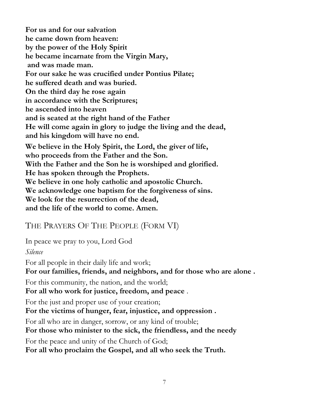**For us and for our salvation he came down from heaven: by the power of the Holy Spirit he became incarnate from the Virgin Mary, and was made man. For our sake he was crucified under Pontius Pilate; he suffered death and was buried. On the third day he rose again in accordance with the Scriptures; he ascended into heaven and is seated at the right hand of the Father He will come again in glory to judge the living and the dead, and his kingdom will have no end. We believe in the Holy Spirit, the Lord, the giver of life, who proceeds from the Father and the Son. With the Father and the Son he is worshiped and glorified. He has spoken through the Prophets. We believe in one holy catholic and apostolic Church. We acknowledge one baptism for the forgiveness of sins. We look for the resurrection of the dead, and the life of the world to come. Amen.**

# THE PRAYERS OF THE PEOPLE (FORM VI)

In peace we pray to you, Lord God

*Silence*

For all people in their daily life and work;

**For our families, friends, and neighbors, and for those who are alone .** 

For this community, the nation, and the world;

**For all who work for justice, freedom, and peace** .

For the just and proper use of your creation;

**For the victims of hunger, fear, injustice, and oppression .** 

For all who are in danger, sorrow, or any kind of trouble;

**For those who minister to the sick, the friendless, and the needy** 

For the peace and unity of the Church of God;

**For all who proclaim the Gospel, and all who seek the Truth.**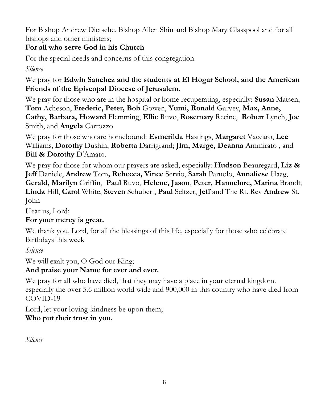For Bishop Andrew Dietsche, Bishop Allen Shin and Bishop Mary Glasspool and for all bishops and other ministers;

# **For all who serve God in his Church**

For the special needs and concerns of this congregation.

*Silence*

We pray for **Edwin Sanchez and the students at El Hogar School, and the American Friends of the Episcopal Diocese of Jerusalem.** 

We pray for those who are in the hospital or home recuperating, especially: **Susan** Matsen, **Tom** Acheson, **Frederic, Peter, Bob** Gowen, **Yumi, Ronald** Garvey, **Max, Anne, Cathy, Barbara, Howard** Flemming, **Ellie** Ruvo, **Rosemary** Recine, **Robert** Lynch, **Joe**  Smith, and **Angela** Carrozzo

We pray for those who are homebound: **Esmerilda** Hastings, **Margaret** Vaccaro, **Lee** Williams, **Dorothy** Dushin, **Roberta** Darrigrand; **Jim, Marge, Deanna** Ammirato , and **Bill & Dorothy** D'Amato.

We pray for those for whom our prayers are asked, especially: **Hudson** Beauregard, **Liz & Jeff** Daniele, **Andrew** Tom**, Rebecca, Vince** Servio, **Sarah** Paruolo, **Annaliese** Haag, **Gerald, Marilyn** Griffin, **Paul** Ruvo, **Helene, Jason**, **Peter, Hannelore, Marina** Brandt, **Linda** Hill, **Carol** White, **Steven** Schubert, **Paul** Seltzer, **Jeff** and The Rt. Rev **Andrew** St. John

Hear us, Lord;

# **For your mercy is great.**

We thank you, Lord, for all the blessings of this life, especially for those who celebrate Birthdays this week

*Silence*

We will exalt you, O God our King;

# **And praise your Name for ever and ever.**

We pray for all who have died, that they may have a place in your eternal kingdom. especially the over 5.6 million world wide and 900,000 in this country who have died from COVID-19

Lord, let your loving-kindness be upon them; **Who put their trust in you.**

*Silence*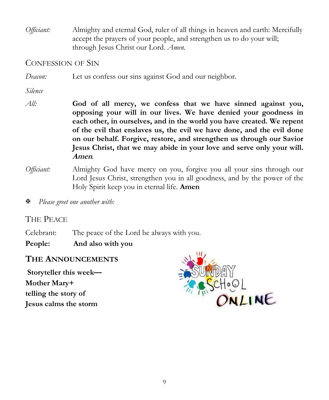*Officiant:* Almighty and eternal God, ruler of all things in heaven and earth: Mercifully accept the prayers of your people, and strengthen us to do your will; through Jesus Christ our Lord. *Amen.*

#### CONFESSION OF SIN

*Deacon:* Let us confess our sins against God and our neighbor.

*Silence*

- *All:* **God of all mercy, we confess that we have sinned against you, opposing your will in our lives. We have denied your goodness in each other, in ourselves, and in the world you have created. We repent of the evil that enslaves us, the evil we have done, and the evil done on our behalf. Forgive, restore, and strengthen us through our Savior Jesus Christ, that we may abide in your love and serve only your will. Amen***.*
- *Officiant:* Almighty God have mercy on you, forgive you all your sins through our Lord Jesus Christ, strengthen you in all goodness, and by the power of the Holy Spirit keep you in eternal life. **Amen**

*Please greet one another with:*

### THE PEACE

Celebrant: The peace of the Lord be always with you.

**People: And also with you**

### **THE ANNOUNCEMENTS**

**Storyteller this week— Mother Mary+ telling the story of Jesus calms the storm**

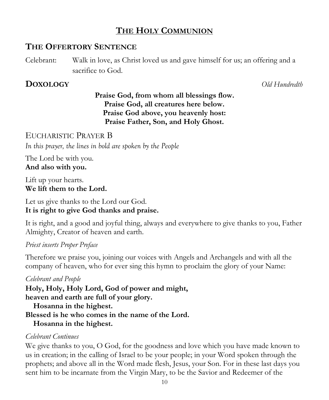# **THE HOLY COMMUNION**

### **THE OFFERTORY SENTENCE**

Celebrant: Walk in love, as Christ loved us and gave himself for us; an offering and a sacrifice to God.

# **DOXOLOGY** *Old Hundredth*

# **Praise God, from whom all blessings flow. Praise God, all creatures here below. Praise God above, you heavenly host: Praise Father, Son, and Holy Ghost.**

EUCHARISTIC PRAYER B *In this prayer, the lines in bold are spoken by the People*

The Lord be with you. **And also with you.**

Lift up your hearts. **We lift them to the Lord.**

Let us give thanks to the Lord our God. **It is right to give God thanks and praise.**

It is right, and a good and joyful thing, always and everywhere to give thanks to you, Father Almighty, Creator of heaven and earth.

### *Priest inserts Proper Preface*

Therefore we praise you, joining our voices with Angels and Archangels and with all the company of heaven, who for ever sing this hymn to proclaim the glory of your Name:

#### *Celebrant and People*

**Holy, Holy, Holy Lord, God of power and might, heaven and earth are full of your glory. Hosanna in the highest.**

**Blessed is he who comes in the name of the Lord.**

### **Hosanna in the highest.**

### *Celebrant Continues*

We give thanks to you, O God, for the goodness and love which you have made known to us in creation; in the calling of Israel to be your people; in your Word spoken through the prophets; and above all in the Word made flesh, Jesus, your Son. For in these last days you sent him to be incarnate from the Virgin Mary, to be the Savior and Redeemer of the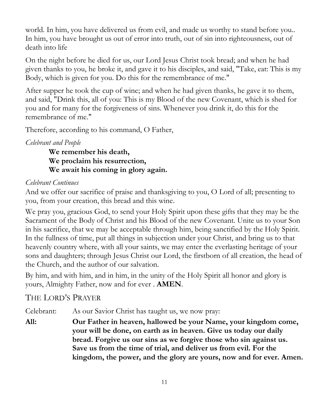world. In him, you have delivered us from evil, and made us worthy to stand before you.. In him, you have brought us out of error into truth, out of sin into righteousness, out of death into life

On the night before he died for us, our Lord Jesus Christ took bread; and when he had given thanks to you, he broke it, and gave it to his disciples, and said, "Take, eat: This is my Body, which is given for you. Do this for the remembrance of me."

After supper he took the cup of wine; and when he had given thanks, he gave it to them, and said, "Drink this, all of you: This is my Blood of the new Covenant, which is shed for you and for many for the forgiveness of sins. Whenever you drink it, do this for the remembrance of me."

Therefore, according to his command, O Father,

### *Celebrant and People*

**We remember his death, We proclaim his resurrection, We await his coming in glory again.** 

### *Celebrant Continues*

And we offer our sacrifice of praise and thanksgiving to you, O Lord of all; presenting to you, from your creation, this bread and this wine.

We pray you, gracious God, to send your Holy Spirit upon these gifts that they may be the Sacrament of the Body of Christ and his Blood of the new Covenant. Unite us to your Son in his sacrifice, that we may be acceptable through him, being sanctified by the Holy Spirit. In the fullness of time, put all things in subjection under your Christ, and bring us to that heavenly country where, with all your saints, we may enter the everlasting heritage of your sons and daughters; through Jesus Christ our Lord, the firstborn of all creation, the head of the Church, and the author of our salvation.

By him, and with him, and in him, in the unity of the Holy Spirit all honor and glory is yours, Almighty Father, now and for ever . **AMEN**.

# THE LORD'S PRAYER

Celebrant: As our Savior Christ has taught us, we now pray:

**All: Our Father in heaven, hallowed be your Name, your kingdom come, your will be done, on earth as in heaven. Give us today our daily bread. Forgive us our sins as we forgive those who sin against us. Save us from the time of trial, and deliver us from evil. For the kingdom, the power, and the glory are yours, now and for ever. Amen.**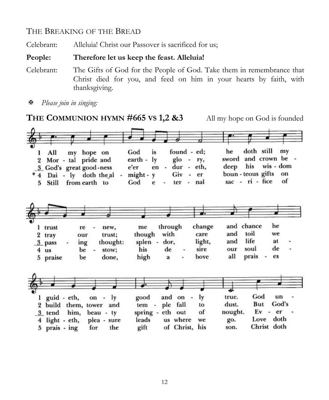## THE BREAKING OF THE BREAD

Celebrant: Alleluia! Christ our Passover is sacrificed for us;

#### **People: Therefore let us keep the feast. Alleluia!**

- Celebrant: The Gifts of God for the People of God. Take them in remembrance that Christ died for you, and feed on him in your hearts by faith, with thanksgiving.
- *Please join in singing:*

**THE COMMUNION HYMN #665 VS 1,2 &3** All my hope on God is founded

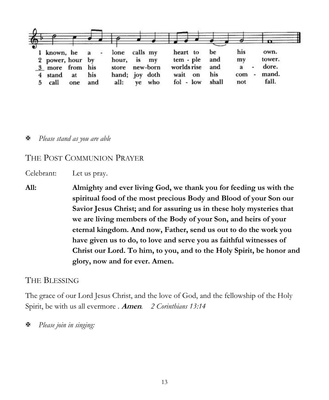

*Please stand as you are able* 

#### THE POST COMMUNION PRAYER

Celebrant: Let us pray.

**All: Almighty and ever living God, we thank you for feeding us with the spiritual food of the most precious Body and Blood of your Son our Savior Jesus Christ; and for assuring us in these holy mysteries that we are living members of the Body of your Son, and heirs of your eternal kingdom. And now, Father, send us out to do the work you have given us to do, to love and serve you as faithful witnesses of Christ our Lord. To him, to you, and to the Holy Spirit, be honor and glory, now and for ever. Amen.**

#### THE BLESSING

The grace of our Lord Jesus Christ, and the love of God, and the fellowship of the Holy Spirit, be with us all evermore . **Amen***. 2 Corinthians 13:14*

*Please join in singing:*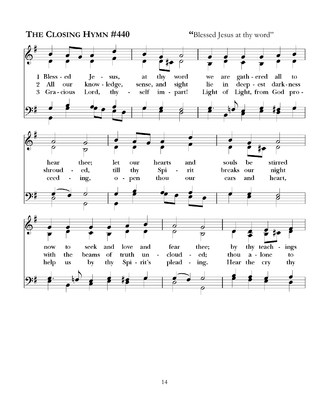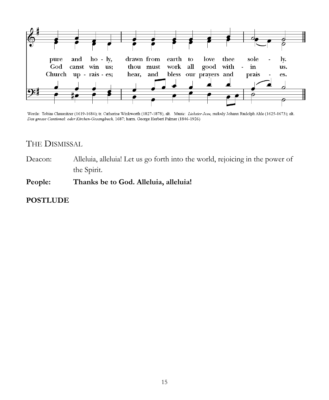

Words: Tobias Clausnitzer (1619-1684); tr. Catherine Winkworth (1827-1878), alt. Music: Liebster Jesu, melody Johann Rudolph Ahle (1625-1673); alt. Das grosse Cantional: oder Kirchen-Gesangbuch, 1687; harm. George Herbert Palmer (1846-1926)

### THE DISMISSAL

Deacon: Alleluia, alleluia! Let us go forth into the world, rejoicing in the power of the Spirit.

**People: Thanks be to God. Alleluia, alleluia!**

### **POSTLUDE**